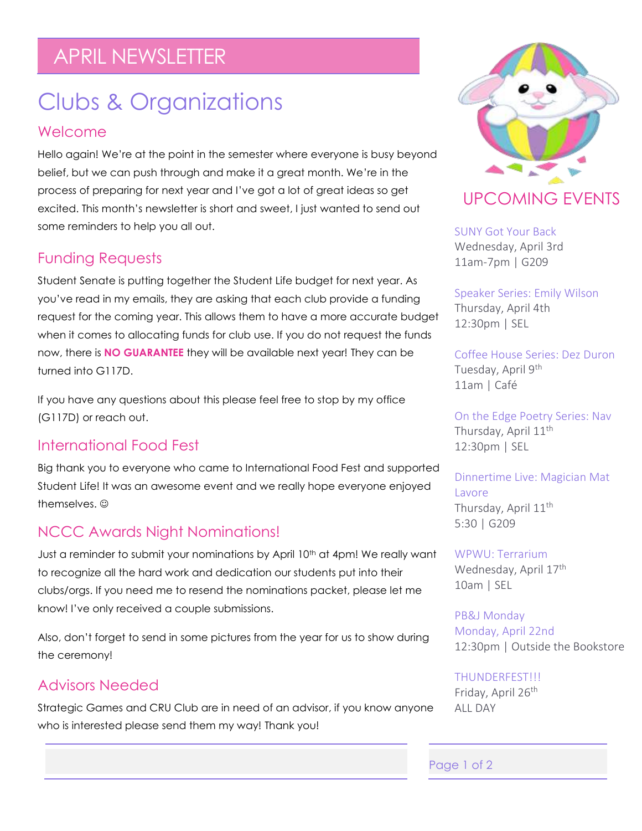## APRIL NEWSLETTER

# Clubs & Organizations

#### Welcome

Hello again! We're at the point in the semester where everyone is busy beyond belief, but we can push through and make it a great month. We're in the process of preparing for next year and I've got a lot of great ideas so get excited. This month's newsletter is short and sweet, I just wanted to send out some reminders to help you all out.

### Funding Requests

Student Senate is putting together the Student Life budget for next year. As you've read in my emails, they are asking that each club provide a funding request for the coming year. This allows them to have a more accurate budget when it comes to allocating funds for club use. If you do not request the funds now, there is **NO GUARANTEE** they will be available next year! They can be turned into G117D.

If you have any questions about this please feel free to stop by my office (G117D) or reach out.

### International Food Fest

Big thank you to everyone who came to International Food Fest and supported Student Life! It was an awesome event and we really hope everyone enjoyed themselves.  $\odot$ 

### NCCC Awards Night Nominations!

Just a reminder to submit your nominations by April 10<sup>th</sup> at 4pm! We really want to recognize all the hard work and dedication our students put into their clubs/orgs. If you need me to resend the nominations packet, please let me know! I've only received a couple submissions.

Also, don't forget to send in some pictures from the year for us to show during the ceremony!

### Advisors Needed

Strategic Games and CRU Club are in need of an advisor, if you know anyone who is interested please send them my way! Thank you!



#### SUNY Got Your Back Wednesday, April 3rd 11am-7pm | G209

Speaker Series: Emily Wilson Thursday, April 4th 12:30pm | SEL

Coffee House Series: Dez Duron Tuesday, April 9<sup>th</sup> 11am | Café

On the Edge Poetry Series: Nav Thursday, April 11<sup>th</sup> 12:30pm | SEL

Dinnertime Live: Magician Mat Lavore Thursday, April  $11<sup>th</sup>$ 5:30 | G209

WPWU: Terrarium Wednesday, April 17<sup>th</sup> 10am | SEL

PB&J Monday Monday, April 22nd 12:30pm | Outside the Bookstore

THUNDERFEST!!! Friday, April 26<sup>th</sup> ALL DAY

#### Page 1 of 2